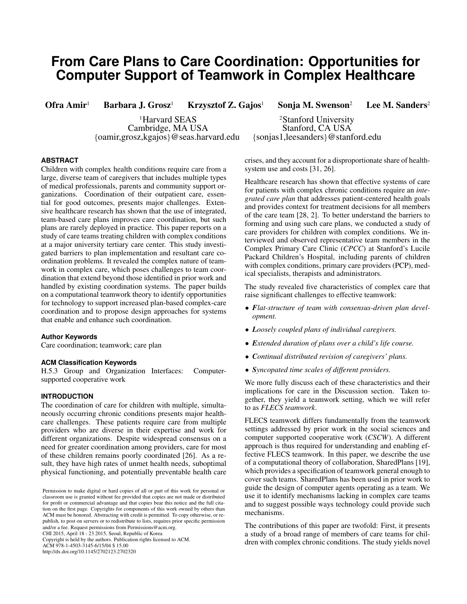# **From Care Plans to Care Coordination: Opportunities for Computer Support of Teamwork in Complex Healthcare**

Ofra Amir<sup>1</sup> Barbara J. Grosz<sup>1</sup> Krzysztof Z. Gajos<sup>1</sup> Sonja M. Swenson<sup>2</sup> Lee M. Sanders<sup>2</sup>

<sup>1</sup>Harvard SEAS Cambridge, MA USA {oamir,grosz,kgajos}@seas.harvard.edu

<sup>2</sup>Stanford University Stanford, CA USA {sonjas1,leesanders}@stanford.edu

### **ABSTRACT**

Children with complex health conditions require care from a large, diverse team of caregivers that includes multiple types of medical professionals, parents and community support organizations. Coordination of their outpatient care, essential for good outcomes, presents major challenges. Extensive healthcare research has shown that the use of integrated, team-based care plans improves care coordination, but such plans are rarely deployed in practice. This paper reports on a study of care teams treating children with complex conditions at a major university tertiary care center. This study investigated barriers to plan implementation and resultant care coordination problems. It revealed the complex nature of teamwork in complex care, which poses challenges to team coordination that extend beyond those identified in prior work and handled by existing coordination systems. The paper builds on a computational teamwork theory to identify opportunities for technology to support increased plan-based complex-care coordination and to propose design approaches for systems that enable and enhance such coordination.

# **Author Keywords**

Care coordination; teamwork; care plan

## **ACM Classification Keywords**

H.5.3 Group and Organization Interfaces: Computersupported cooperative work

# **INTRODUCTION**

The coordination of care for children with multiple, simultaneously occurring chronic conditions presents major healthcare challenges. These patients require care from multiple providers who are diverse in their expertise and work for different organizations. Despite widespread consensus on a need for greater coordination among providers, care for most of these children remains poorly coordinated [\[26\]](#page-9-0). As a result, they have high rates of unmet health needs, suboptimal physical functioning, and potentially preventable health care

CHI 2015, April 18 - 23 2015, Seoul, Republic of Korea Copyright is held by the authors. Publication rights licensed to ACM.

ACM 978-1-4503-3145-6/15/04 \$ 15.00

http://dx.doi.org/10.1145/2702123.2702320

crises, and they account for a disproportionate share of healthsystem use and costs [\[31,](#page-9-1) [26\]](#page-9-0).

Healthcare research has shown that effective systems of care for patients with complex chronic conditions require an *integrated care plan* that addresses patient-centered health goals and provides context for treatment decisions for all members of the care team [\[28,](#page-9-2) [2\]](#page-8-0). To better understand the barriers to forming and using such care plans, we conducted a study of care providers for children with complex conditions. We interviewed and observed representative team members in the Complex Primary Care Clinic (*CPCC*) at Stanford's Lucile Packard Children's Hospital, including parents of children with complex conditions, primary care providers (PCP), medical specialists, therapists and administrators.

The study revealed five characteristics of complex care that raise significant challenges to effective teamwork:

- *Flat-structure of team with consensus-driven plan development.*
- *Loosely coupled plans of individual caregivers.*
- *Extended duration of plans over a child's life course.*
- *Continual distributed revision of caregivers' plans.*
- *Syncopated time scales of different providers.*

We more fully discuss each of these characteristics and their implications for care in the Discussion section. Taken together, they yield a teamwork setting, which we will refer to as *FLECS teamwork*.

FLECS teamwork differs fundamentally from the teamwork settings addressed by prior work in the social sciences and computer supported cooperative work (*CSCW*). A different approach is thus required for understanding and enabling effective FLECS teamwork. In this paper, we describe the use of a computational theory of collaboration, SharedPlans [\[19\]](#page-9-3), which provides a specification of teamwork general enough to cover such teams. SharedPlans has been used in prior work to guide the design of computer agents operating as a team. We use it to identify mechanisms lacking in complex care teams and to suggest possible ways technology could provide such mechanisms.

The contributions of this paper are twofold: First, it presents a study of a broad range of members of care teams for children with complex chronic conditions. The study yields novel

Permission to make digital or hard copies of all or part of this work for personal or classroom use is granted without fee provided that copies are not made or distributed for profit or commercial advantage and that copies bear this notice and the full citation on the first page. Copyrights for components of this work owned by others than ACM must be honored. Abstracting with credit is permitted. To copy otherwise, or republish, to post on servers or to redistribute to lists, requires prior specific permission and/or a fee. Request permissions from Permissions@acm.org.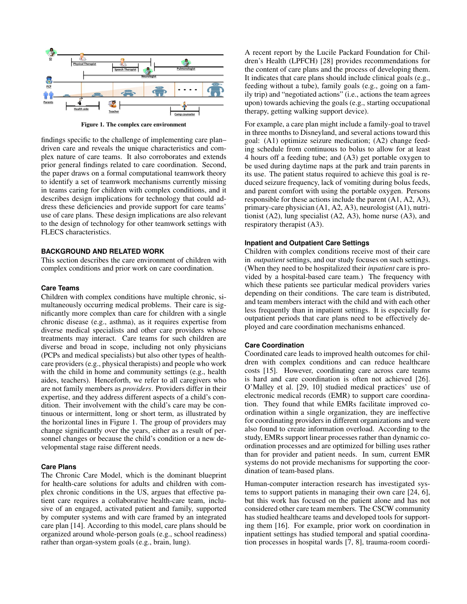

<span id="page-1-0"></span>Figure 1. The complex care environment

findings specific to the challenge of implementing care plan– driven care and reveals the unique characteristics and complex nature of care teams. It also corroborates and extends prior general findings related to care coordination. Second, the paper draws on a formal computational teamwork theory to identify a set of teamwork mechanisms currently missing in teams caring for children with complex conditions, and it describes design implications for technology that could address these deficiencies and provide support for care teams' use of care plans. These design implications are also relevant to the design of technology for other teamwork settings with FLECS characteristics.

# **BACKGROUND AND RELATED WORK**

This section describes the care environment of children with complex conditions and prior work on care coordination.

### **Care Teams**

Children with complex conditions have multiple chronic, simultaneously occurring medical problems. Their care is significantly more complex than care for children with a single chronic disease (e.g., asthma), as it requires expertise from diverse medical specialists and other care providers whose treatments may interact. Care teams for such children are diverse and broad in scope, including not only physicians (PCPs and medical specialists) but also other types of healthcare providers (e.g., physical therapists) and people who work with the child in home and community settings (e.g., health aides, teachers). Henceforth, we refer to all caregivers who are not family members as *providers*. Providers differ in their expertise, and they address different aspects of a child's condition. Their involvement with the child's care may be continuous or intermittent, long or short term, as illustrated by the horizontal lines in Figure [1.](#page-1-0) The group of providers may change significantly over the years, either as a result of personnel changes or because the child's condition or a new developmental stage raise different needs.

#### **Care Plans**

The Chronic Care Model, which is the dominant blueprint for health-care solutions for adults and children with complex chronic conditions in the US, argues that effective patient care requires a collaborative health-care team, inclusive of an engaged, activated patient and family, supported by computer systems and with care framed by an integrated care plan [\[14\]](#page-9-4). According to this model, care plans should be organized around whole-person goals (e.g., school readiness) rather than organ-system goals (e.g., brain, lung).

A recent report by the Lucile Packard Foundation for Children's Health (LPFCH) [\[28\]](#page-9-2) provides recommendations for the content of care plans and the process of developing them. It indicates that care plans should include clinical goals (e.g., feeding without a tube), family goals (e.g., going on a family trip) and "negotiated actions" (i.e., actions the team agrees upon) towards achieving the goals (e.g., starting occupational therapy, getting walking support device).

For example, a care plan might include a family-goal to travel in three months to Disneyland, and several actions toward this goal: (A1) optimize seizure medication; (A2) change feeding schedule from continuous to bolus to allow for at least 4 hours off a feeding tube; and (A3) get portable oxygen to be used during daytime naps at the park and train parents in its use. The patient status required to achieve this goal is reduced seizure frequency, lack of vomiting during bolus feeds, and parent comfort with using the portable oxygen. Persons responsible for these actions include the parent (A1, A2, A3), primary-care physician (A1, A2, A3), neurologist (A1), nutritionist (A2), lung specialist (A2, A3), home nurse (A3), and respiratory therapist (A3).

# **Inpatient and Outpatient Care Settings**

Children with complex conditions receive most of their care in *outpatient* settings, and our study focuses on such settings. (When they need to be hospitalized their *inpatient* care is provided by a hospital-based care team.) The frequency with which these patients see particular medical providers varies depending on their conditions. The care team is distributed, and team members interact with the child and with each other less frequently than in inpatient settings. It is especially for outpatient periods that care plans need to be effectively deployed and care coordination mechanisms enhanced.

#### **Care Coordination**

Coordinated care leads to improved health outcomes for children with complex conditions and can reduce healthcare costs [\[15\]](#page-9-5). However, coordinating care across care teams is hard and care coordination is often not achieved [\[26\]](#page-9-0). O'Malley et al. [\[29,](#page-9-6) [10\]](#page-9-7) studied medical practices' use of electronic medical records (EMR) to support care coordination. They found that while EMRs facilitate improved coordination within a single organization, they are ineffective for coordinating providers in different organizations and were also found to create information overload. According to the study, EMRs support linear processes rather than dynamic coordination processes and are optimized for billing uses rather than for provider and patient needs. In sum, current EMR systems do not provide mechanisms for supporting the coordination of team-based plans.

Human-computer interaction research has investigated systems to support patients in managing their own care [\[24,](#page-9-8) [6\]](#page-8-1), but this work has focused on the patient alone and has not considered other care team members. The CSCW community has studied healthcare teams and developed tools for supporting them [\[16\]](#page-9-9). For example, prior work on coordination in inpatient settings has studied temporal and spatial coordination processes in hospital wards [\[7,](#page-8-2) [8\]](#page-8-3), trauma-room coordi-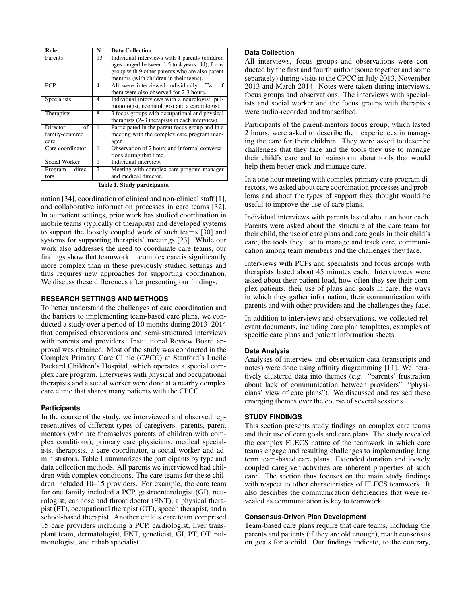| <b>Role</b>           | N                           | <b>Data Collection</b>                          |  |
|-----------------------|-----------------------------|-------------------------------------------------|--|
| Parents               | 13                          | Individual interviews with 4 parents (children  |  |
|                       |                             | ages ranged between 1.5 to 4 years old); focus  |  |
|                       |                             | group with 9 other parents who are also parent  |  |
|                       |                             | mentors (with children in their teens).         |  |
| <b>PCP</b><br>4       |                             | All were interviewed individually. Two of       |  |
|                       |                             | them were also observed for 2-3 hours.          |  |
| Specialists<br>4      |                             | Individual interviews with a neurologist, pul-  |  |
|                       |                             | monologist, neonatologist and a cardiologist.   |  |
| 8<br>Therapists       |                             | 3 focus groups with occupational and physical   |  |
|                       |                             | therapists (2–3 therapists in each interview).  |  |
| Director<br>of        |                             | Participated in the parent focus group and in a |  |
| family-centered       |                             | meeting with the complex care program man-      |  |
| care                  |                             | ager.                                           |  |
| Care coordinator<br>1 |                             | Observation of 2 hours and informal conversa-   |  |
|                       |                             | tions during that time.                         |  |
| Social Worker         | 1                           | Individual interview.                           |  |
| direc-<br>Program     | $\mathcal{D}_{\mathcal{L}}$ | Meeting with complex care program manager       |  |
| tors                  |                             | and medical director.                           |  |

<span id="page-2-0"></span>Table 1. Study participants.

nation [\[34\]](#page-9-10), coordination of clinical and non-clinical staff [\[1\]](#page-8-4), and collaborative information processes in care teams [\[32\]](#page-9-11). In outpatient settings, prior work has studied coordination in mobile teams (typically of therapists) and developed systems to support the loosely coupled work of such teams [\[30\]](#page-9-12) and systems for supporting therapists' meetings [\[23\]](#page-9-13). While our work also addresses the need to coordinate care teams, our findings show that teamwork in complex care is significantly more complex than in these previously studied settings and thus requires new approaches for supporting coordination. We discuss these differences after presenting our findings.

# **RESEARCH SETTINGS AND METHODS**

To better understand the challenges of care coordination and the barriers to implementing team-based care plans, we conducted a study over a period of 10 months during 2013–2014 that comprised observations and semi-structured interviews with parents and providers. Institutional Review Board approval was obtained. Most of the study was conducted in the Complex Primary Care Clinic (*CPCC*) at Stanford's Lucile Packard Children's Hospital, which operates a special complex care program. Interviews with physical and occupational therapists and a social worker were done at a nearby complex care clinic that shares many patients with the CPCC.

# **Participants**

In the course of the study, we interviewed and observed representatives of different types of caregivers: parents, parent mentors (who are themselves parents of children with complex conditions), primary care physicians, medical specialists, therapists, a care coordinator, a social worker and administrators. Table [1](#page-2-0) summarizes the participants by type and data collection methods. All parents we interviewed had children with complex conditions. The care teams for these children included 10–15 providers. For example, the care team for one family included a PCP, gastroenterologist (GI), neurologist, ear nose and throat doctor (ENT), a physical therapist (PT), occupational therapist (OT), speech therapist, and a school-based therapist. Another child's care team comprised 15 care providers including a PCP, cardiologist, liver transplant team, dermatologist, ENT, geneticist, GI, PT, OT, pulmonologist, and rehab specialist.

# **Data Collection**

All interviews, focus groups and observations were conducted by the first and fourth author (some together and some separately) during visits to the CPCC in July 2013, November 2013 and March 2014. Notes were taken during interviews, focus groups and observations. The interviews with specialists and social worker and the focus groups with therapists were audio-recorded and transcribed.

Participants of the parent-mentors focus group, which lasted 2 hours, were asked to describe their experiences in managing the care for their children. They were asked to describe challenges that they face and the tools they use to manage their child's care and to brainstorm about tools that would help them better track and manage care.

In a one hour meeting with complex primary care program directors, we asked about care coordination processes and problems and about the types of support they thought would be useful to improve the use of care plans.

Individual interviews with parents lasted about an hour each. Parents were asked about the structure of the care team for their child, the use of care plans and care goals in their child's care, the tools they use to manage and track care, communication among team members and the challenges they face.

Interviews with PCPs and specialists and focus groups with therapists lasted about 45 minutes each. Interviewees were asked about their patient load, how often they see their complex patients, their use of plans and goals in care, the ways in which they gather information, their communication with parents and with other providers and the challenges they face.

In addition to interviews and observations, we collected relevant documents, including care plan templates, examples of specific care plans and patient information sheets.

#### **Data Analysis**

Analyses of interview and observation data (transcripts and notes) were done using affinity diagramming [\[11\]](#page-9-14). We iteratively clustered data into themes (e.g. "parents' frustration about lack of communication between providers", "physicians' view of care plans"). We discussed and revised these emerging themes over the course of several sessions.

## **STUDY FINDINGS**

This section presents study findings on complex care teams and their use of care goals and care plans. The study revealed the complex FLECS nature of the teamwork in which care teams engage and resulting challenges to implementing long term team-based care plans. Extended duration and loosely coupled caregiver activities are inherent properties of such care. The section thus focuses on the main study findings with respect to other characteristics of FLECS teamwork. It also describes the communication deficiencies that were revealed as communication is key to teamwork.

# **Consensus-Driven Plan Development**

Team-based care plans require that care teams, including the parents and patients (if they are old enough), reach consensus on goals for a child. Our findings indicate, to the contrary,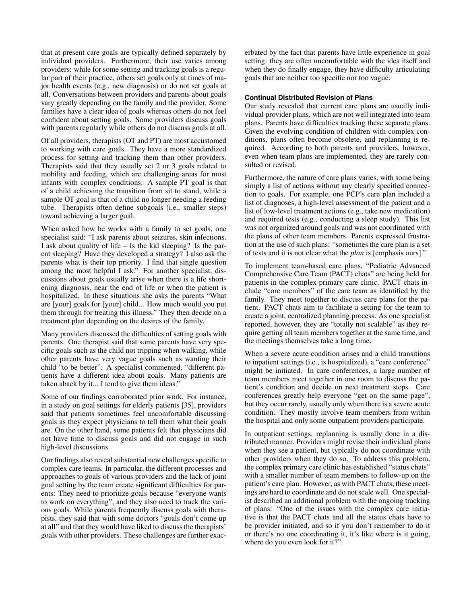that at present care goals are typically defined separately by individual providers. Furthermore, their use varies among providers: while for some setting and tracking goals is a regular part of their practice, others set goals only at times of major health events (e.g., new diagnosis) or do not set goals at all. Conversations between providers and parents about goals vary greatly depending on the family and the provider. Some families have a clear idea of goals whereas others do not feel confident about setting goals. Some providers discuss goals with parents regularly while others do not discuss goals at all.

Of all providers, therapists (OT and PT) are most accustomed to working with care goals. They have a more standardized process for setting and tracking them than other providers. Therapists said that they usually set 2 or 3 goals related to mobility and feeding, which are challenging areas for most infants with complex conditions. A sample PT goal is that of a child achieving the transition from sit to stand, while a sample OT goal is that of a child no longer needing a feeding tube. Therapists often define subgoals (i.e., smaller steps) toward achieving a larger goal.

When asked how he works with a family to set goals, one specialist said: "I ask parents about seizures, skin infections. I ask about quality of life – Is the kid sleeping? Is the parent sleeping? Have they developed a strategy? I also ask the parents what is their top priority. I find that single question among the most helpful I ask." For another specialist, discussions about goals usually arise when there is a life shortening diagnosis, near the end of life or when the patient is hospitalized. In these situations she asks the parents "What are [your] goals for [your] child... How much would you put them through for treating this illness." They then decide on a treatment plan depending on the desires of the family.

Many providers discussed the difficulties of setting goals with parents. One therapist said that some parents have very specific goals such as the child not tripping when walking, while other parents have very vague goals such as wanting their child "to be better". A specialist commented, "different patients have a different idea about goals. Many patients are taken aback by it... I tend to give them ideas."

Some of our findings corroborated prior work. For instance, in a study on goal settings for elderly patients [\[35\]](#page-9-15), providers said that patients sometimes feel uncomfortable discussing goals as they expect physicians to tell them what their goals are. On the other hand, some patients felt that physicians did not have time to discuss goals and did not engage in such high-level discussions.

Our findings also reveal substantial new challenges specific to complex care teams. In particular, the different processes and approaches to goals of various providers and the lack of joint goal setting by the team create significant difficulties for parents: They need to prioritize goals because "everyone wants to work on everything", and they also need to track the various goals. While parents frequently discuss goals with therapists, they said that with some doctors "goals don't come up at all" and that they would have liked to discuss the therapists' goals with other providers. These challenges are further exacerbated by the fact that parents have little experience in goal setting: they are often uncomfortable with the idea itself and when they do finally engage, they have difficulty articulating goals that are neither too specific nor too vague.

## **Continual Distributed Revision of Plans**

Our study revealed that current care plans are usually individual provider plans, which are not well integrated into team plans. Parents have difficulties tracking these separate plans. Given the evolving condition of children with complex conditions, plans often become obsolete, and replanning is required. According to both parents and providers, however, even when team plans are implemented, they are rarely consulted or revised.

Furthermore, the nature of care plans varies, with some being simply a list of actions without any clearly specified connection to goals. For example, one PCP's care plan included a list of diagnoses, a high-level assessment of the patient and a list of low-level treatment actions (e.g., take new medication) and required tests (e.g., conducting a sleep study). This list was not organized around goals and was not coordinated with the plans of other team members. Parents expressed frustration at the use of such plans: "sometimes the care plan is a set of tests and it is not clear what the *plan* is [emphasis ours]."

To implement team-based care plans, "Pediatric Advanced Comprehensive Care Team (PACT) chats" are being held for patients in the complex primary care clinic. PACT chats include "core members" of the care team as identified by the family. They meet together to discuss care plans for the patient. PACT chats aim to facilitate a setting for the team to create a joint, centralized planning process. As one specialist reported, however, they are "totally not scalable" as they require getting all team members together at the same time, and the meetings themselves take a long time.

When a severe acute condition arises and a child transitions to inpatient settings (i.e., is hospitalized), a "care conference" might be initiated. In care conferences, a large number of team members meet together in one room to discuss the patient's condition and decide on next treatment steps. Care conferences greatly help everyone "get on the same page", but they occur rarely, usually only when there is a severe acute condition. They mostly involve team members from within the hospital and only some outpatient providers participate.

In outpatient settings, replanning is usually done in a distributed manner. Providers might revise their individual plans when they see a patient, but typically do not coordinate with other providers when they do so. To address this problem, the complex primary care clinic has established "status chats" with a smaller number of team members to follow-up on the patient's care plan. However, as with PACT chats, these meetings are hard to coordinate and do not scale well. One specialist described an additional problem with the ongoing tracking of plans: "One of the issues with the complex care initiative is that the PACT chats and all the status chats have to be provider initiated, and so if you don't remember to do it or there's no one coordinating it, it's like where is it going, where do you even look for it?".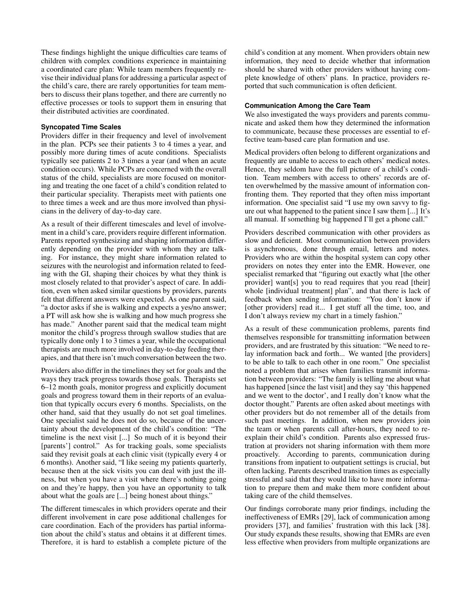These findings highlight the unique difficulties care teams of children with complex conditions experience in maintaining a coordinated care plan: While team members frequently revise their individual plans for addressing a particular aspect of the child's care, there are rarely opportunities for team members to discuss their plans together, and there are currently no effective processes or tools to support them in ensuring that their distributed activities are coordinated.

# **Syncopated Time Scales**

Providers differ in their frequency and level of involvement in the plan. PCPs see their patients 3 to 4 times a year, and possibly more during times of acute conditions. Specialists typically see patients 2 to 3 times a year (and when an acute condition occurs). While PCPs are concerned with the overall status of the child, specialists are more focused on monitoring and treating the one facet of a child's condition related to their particular speciality. Therapists meet with patients one to three times a week and are thus more involved than physicians in the delivery of day-to-day care.

As a result of their different timescales and level of involvement in a child's care, providers require different information. Parents reported synthesizing and shaping information differently depending on the provider with whom they are talking. For instance, they might share information related to seizures with the neurologist and information related to feeding with the GI, shaping their choices by what they think is most closely related to that provider's aspect of care. In addition, even when asked similar questions by providers, parents felt that different answers were expected. As one parent said, "a doctor asks if she is walking and expects a yes/no answer; a PT will ask how she is walking and how much progress she has made." Another parent said that the medical team might monitor the child's progress through swallow studies that are typically done only 1 to 3 times a year, while the occupational therapists are much more involved in day-to-day feeding therapies, and that there isn't much conversation between the two.

Providers also differ in the timelines they set for goals and the ways they track progress towards those goals. Therapists set 6–12 month goals, monitor progress and explicitly document goals and progress toward them in their reports of an evaluation that typically occurs every 6 months. Specialists, on the other hand, said that they usually do not set goal timelines. One specialist said he does not do so, because of the uncertainty about the development of the child's condition: "The timeline is the next visit [...] So much of it is beyond their [parents'] control." As for tracking goals, some specialists said they revisit goals at each clinic visit (typically every 4 or 6 months). Another said, "I like seeing my patients quarterly, because then at the sick visits you can deal with just the illness, but when you have a visit where there's nothing going on and they're happy, then you have an opportunity to talk about what the goals are [...] being honest about things."

The different timescales in which providers operate and their different involvement in care pose additional challenges for care coordination. Each of the providers has partial information about the child's status and obtains it at different times. Therefore, it is hard to establish a complete picture of the

child's condition at any moment. When providers obtain new information, they need to decide whether that information should be shared with other providers without having complete knowledge of others' plans. In practice, providers reported that such communication is often deficient.

# **Communication Among the Care Team**

We also investigated the ways providers and parents communicate and asked them how they determined the information to communicate, because these processes are essential to effective team-based care plan formation and use.

Medical providers often belong to different organizations and frequently are unable to access to each others' medical notes. Hence, they seldom have the full picture of a child's condition. Team members with access to others' records are often overwhelmed by the massive amount of information confronting them. They reported that they often miss important information. One specialist said "I use my own savvy to figure out what happened to the patient since I saw them [...] It's all manual. If something big happened I'll get a phone call."

Providers described communication with other providers as slow and deficient. Most communication between providers is asynchronous, done through email, letters and notes. Providers who are within the hospital system can copy other providers on notes they enter into the EMR. However, one specialist remarked that "figuring out exactly what [the other provider] want[s] you to read requires that you read [their] whole [individual treatment] plan", and that there is lack of feedback when sending information: "You don't know if [other providers] read it... I get stuff all the time, too, and I don't always review my chart in a timely fashion."

As a result of these communication problems, parents find themselves responsible for transmitting information between providers, and are frustrated by this situation: "We need to relay information back and forth... We wanted [the providers] to be able to talk to each other in one room." One specialist noted a problem that arises when families transmit information between providers: "The family is telling me about what has happened [since the last visit] and they say 'this happened and we went to the doctor', and I really don't know what the doctor thought." Parents are often asked about meetings with other providers but do not remember all of the details from such past meetings. In addition, when new providers join the team or when parents call after-hours, they need to reexplain their child's condition. Parents also expressed frustration at providers not sharing information with them more proactively. According to parents, communication during transitions from inpatient to outpatient settings is crucial, but often lacking. Parents described transition times as especially stressful and said that they would like to have more information to prepare them and make them more confident about taking care of the child themselves.

Our findings corroborate many prior findings, including the ineffectiveness of EMRs [\[29\]](#page-9-6), lack of communication among providers [\[37\]](#page-9-16), and families' frustration with this lack [\[38\]](#page-9-17). Our study expands these results, showing that EMRs are even less effective when providers from multiple organizations are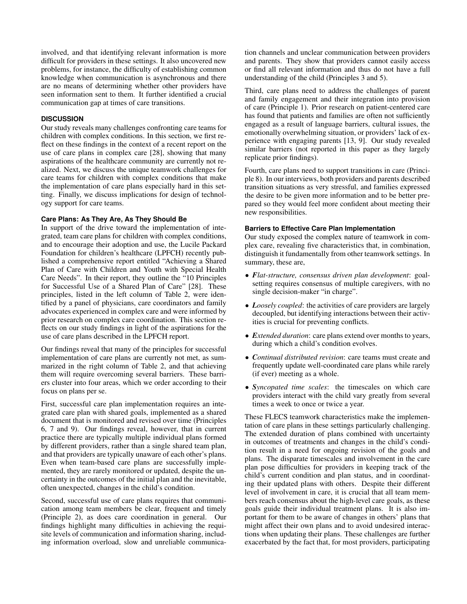involved, and that identifying relevant information is more difficult for providers in these settings. It also uncovered new problems, for instance, the difficulty of establishing common knowledge when communication is asynchronous and there are no means of determining whether other providers have seen information sent to them. It further identified a crucial communication gap at times of care transitions.

# **DISCUSSION**

Our study reveals many challenges confronting care teams for children with complex conditions. In this section, we first reflect on these findings in the context of a recent report on the use of care plans in complex care [\[28\]](#page-9-2), showing that many aspirations of the healthcare community are currently not realized. Next, we discuss the unique teamwork challenges for care teams for children with complex conditions that make the implementation of care plans especially hard in this setting. Finally, we discuss implications for design of technology support for care teams.

# **Care Plans: As They Are, As They Should Be**

In support of the drive toward the implementation of integrated, team care plans for children with complex conditions, and to encourage their adoption and use, the Lucile Packard Foundation for children's healthcare (LPFCH) recently published a comprehensive report entitled "Achieving a Shared Plan of Care with Children and Youth with Special Health Care Needs". In their report, they outline the "10 Principles for Successful Use of a Shared Plan of Care" [\[28\]](#page-9-2). These principles, listed in the left column of Table [2,](#page-6-0) were identified by a panel of physicians, care coordinators and family advocates experienced in complex care and were informed by prior research on complex care coordination. This section reflects on our study findings in light of the aspirations for the use of care plans described in the LPFCH report.

Our findings reveal that many of the principles for successful implementation of care plans are currently not met, as summarized in the right column of Table [2,](#page-6-0) and that achieving them will require overcoming several barriers. These barriers cluster into four areas, which we order according to their focus on plans per se.

First, successful care plan implementation requires an integrated care plan with shared goals, implemented as a shared document that is monitored and revised over time (Principles 6, 7 and 9). Our findings reveal, however, that in current practice there are typically multiple individual plans formed by different providers, rather than a single shared team plan, and that providers are typically unaware of each other's plans. Even when team-based care plans are successfully implemented, they are rarely monitored or updated, despite the uncertainty in the outcomes of the initial plan and the inevitable, often unexpected, changes in the child's condition.

Second, successful use of care plans requires that communication among team members be clear, frequent and timely (Principle 2), as does care coordination in general. Our findings highlight many difficulties in achieving the requisite levels of communication and information sharing, including information overload, slow and unreliable communica-

tion channels and unclear communication between providers and parents. They show that providers cannot easily access or find all relevant information and thus do not have a full understanding of the child (Principles 3 and 5).

Third, care plans need to address the challenges of parent and family engagement and their integration into provision of care (Principle 1). Prior research on patient-centered care has found that patients and families are often not sufficiently engaged as a result of language barriers, cultural issues, the emotionally overwhelming situation, or providers' lack of experience with engaging parents [\[13,](#page-9-18) [9\]](#page-8-5). Our study revealed similar barriers (not reported in this paper as they largely replicate prior findings).

Fourth, care plans need to support transitions in care (Principle 8). In our interviews, both providers and parents described transition situations as very stressful, and families expressed the desire to be given more information and to be better prepared so they would feel more confident about meeting their new responsibilities.

# **Barriers to Effective Care Plan Implementation**

Our study exposed the complex nature of teamwork in complex care, revealing five characteristics that, in combination, distinguish it fundamentally from other teamwork settings. In summary, these are,

- *Flat-structure, consensus driven plan development*: goalsetting requires consensus of multiple caregivers, with no single decision-maker "in charge".
- *Loosely coupled*: the activities of care providers are largely decoupled, but identifying interactions between their activities is crucial for preventing conflicts.
- *Extended duration*: care plans extend over months to years, during which a child's condition evolves.
- *Continual distributed revision*: care teams must create and frequently update well-coordinated care plans while rarely (if ever) meeting as a whole.
- *Syncopated time scales*: the timescales on which care providers interact with the child vary greatly from several times a week to once or twice a year.

These FLECS teamwork characteristics make the implementation of care plans in these settings particularly challenging. The extended duration of plans combined with uncertainty in outcomes of treatments and changes in the child's condition result in a need for ongoing revision of the goals and plans. The disparate timescales and involvement in the care plan pose difficulties for providers in keeping track of the child's current condition and plan status, and in coordinating their updated plans with others. Despite their different level of involvement in care, it is crucial that all team members reach consensus about the high-level care goals, as these goals guide their individual treatment plans. It is also important for them to be aware of changes in others' plans that might affect their own plans and to avoid undesired interactions when updating their plans. These challenges are further exacerbated by the fact that, for most providers, participating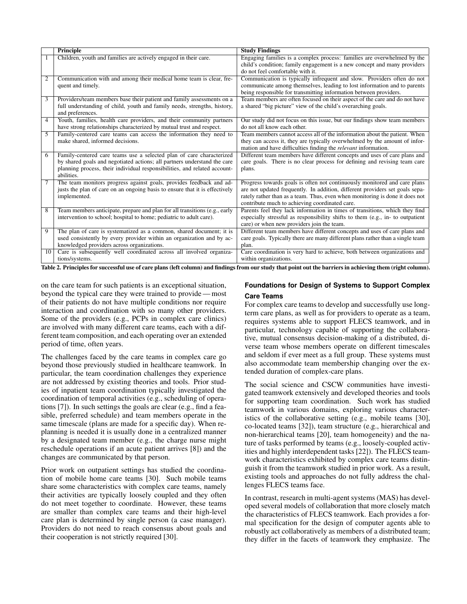|                | <b>Principle</b>                                                                                                                                                                                                                            | <b>Study Findings</b>                                                                                                                                                                                                                                                                       |
|----------------|---------------------------------------------------------------------------------------------------------------------------------------------------------------------------------------------------------------------------------------------|---------------------------------------------------------------------------------------------------------------------------------------------------------------------------------------------------------------------------------------------------------------------------------------------|
|                | Children, youth and families are actively engaged in their care.                                                                                                                                                                            | Engaging families is a complex process: families are overwhelmed by the<br>child's condition; family engagement is a new concept and many providers<br>do not feel comfortable with it.                                                                                                     |
| 2              | Communication with and among their medical home team is clear, fre-<br>quent and timely.                                                                                                                                                    | Communication is typically infrequent and slow. Providers often do not<br>communicate among themselves, leading to lost information and to parents<br>being responsible for transmitting information between providers.                                                                     |
| 3              | Providers/team members base their patient and family assessments on a<br>full understanding of child, youth and family needs, strengths, history,<br>and preferences.                                                                       | Team members are often focused on their aspect of the care and do not have<br>a shared "big picture" view of the child's overarching goals.                                                                                                                                                 |
| 4              | Youth, families, health care providers, and their community partners<br>have strong relationships characterized by mutual trust and respect.                                                                                                | Our study did not focus on this issue, but our findings show team members<br>do not all know each other.                                                                                                                                                                                    |
| $\overline{5}$ | Family-centered care teams can access the information they need to<br>make shared, informed decisions.                                                                                                                                      | Team members cannot access all of the information about the patient. When<br>they can access it, they are typically overwhelmed by the amount of infor-<br>mation and have difficulties finding the <i>relevant</i> information.                                                            |
| 6              | Family-centered care teams use a selected plan of care characterized<br>by shared goals and negotiated actions; all partners understand the care<br>planning process, their individual responsibilities, and related account-<br>abilities. | Different team members have different concepts and uses of care plans and<br>care goals. There is no clear process for defining and revising team care<br>plans.                                                                                                                            |
| 7              | The team monitors progress against goals, provides feedback and ad-<br>justs the plan of care on an ongoing basis to ensure that it is effectively<br>implemented.                                                                          | Progress towards goals is often not continuously monitored and care plans<br>are not updated frequently. In addition, different providers set goals sepa-<br>rately rather than as a team. Thus, even when monitoring is done it does not<br>contribute much to achieving coordinated care. |
| 8              | Team members anticipate, prepare and plan for all transitions (e.g., early<br>intervention to school; hospital to home; pediatric to adult care).                                                                                           | Parents feel they lack information in times of transitions, which they find<br>especially stressful as responsibility shifts to them (e.g., in- to outpatient<br>care) or when new providers join the team.                                                                                 |
| 9              | The plan of care is systematized as a common, shared document; it is<br>used consistently by every provider within an organization and by ac-<br>knowledged providers across organizations.                                                 | Different team members have different concepts and uses of care plans and<br>care goals. Typically there are many different plans rather than a single team<br>plan.                                                                                                                        |
| 10             | Care is subsequently well coordinated across all involved organiza-<br>tions/systems.                                                                                                                                                       | Care coordination is very hard to achieve, both between organizations and<br>within organizations.                                                                                                                                                                                          |

<span id="page-6-0"></span>Table 2. Principles for successful use of care plans (left column) and findings from our study that point out the barriers in achieving them (right column).

on the care team for such patients is an exceptional situation, beyond the typical care they were trained to provide — most of their patients do not have multiple conditions nor require interaction and coordination with so many other providers. Some of the providers (e.g., PCPs in complex care clinics) are involved with many different care teams, each with a different team composition, and each operating over an extended period of time, often years.

The challenges faced by the care teams in complex care go beyond those previously studied in healthcare teamwork. In particular, the team coordination challenges they experience are not addressed by existing theories and tools. Prior studies of inpatient team coordination typically investigated the coordination of temporal activities (e.g., scheduling of operations [\[7\]](#page-8-2)). In such settings the goals are clear (e.g., find a feasible, preferred schedule) and team members operate in the same timescale (plans are made for a specific day). When replanning is needed it is usually done in a centralized manner by a designated team member (e.g., the charge nurse might reschedule operations if an acute patient arrives [\[8\]](#page-8-3)) and the changes are communicated by that person.

Prior work on outpatient settings has studied the coordination of mobile home care teams [\[30\]](#page-9-12). Such mobile teams share some characteristics with complex care teams, namely their activities are typically loosely coupled and they often do not meet together to coordinate. However, these teams are smaller than complex care teams and their high-level care plan is determined by single person (a case manager). Providers do not need to reach consensus about goals and their cooperation is not strictly required [\[30\]](#page-9-12).

# **Foundations for Design of Systems to Support Complex Care Teams**

For complex care teams to develop and successfully use longterm care plans, as well as for providers to operate as a team, requires systems able to support FLECS teamwork, and in particular, technology capable of supporting the collaborative, mutual consensus decision-making of a distributed, diverse team whose members operate on different timescales and seldom if ever meet as a full group. These systems must also accommodate team membership changing over the extended duration of complex-care plans.

The social science and CSCW communities have investigated teamwork extensively and developed theories and tools for supporting team coordination. Such work has studied teamwork in various domains, exploring various characteristics of the collaborative setting (e.g., mobile teams [\[30\]](#page-9-12), co-located teams [\[32\]](#page-9-11)), team structure (e.g., hierarchical and non-hierarchical teams [\[20\]](#page-9-19), team homogeneity) and the nature of tasks performed by teams (e.g., loosely-coupled activities and highly interdependent tasks [\[22\]](#page-9-20)). The FLECS teamwork characteristics exhibited by complex care teams distinguish it from the teamwork studied in prior work. As a result, existing tools and approaches do not fully address the challenges FLECS teams face.

In contrast, research in multi-agent systems (MAS) has developed several models of collaboration that more closely match the characteristics of FLECS teamwork. Each provides a formal specification for the design of computer agents able to robustly act collaboratively as members of a distributed team; they differ in the facets of teamwork they emphasize. The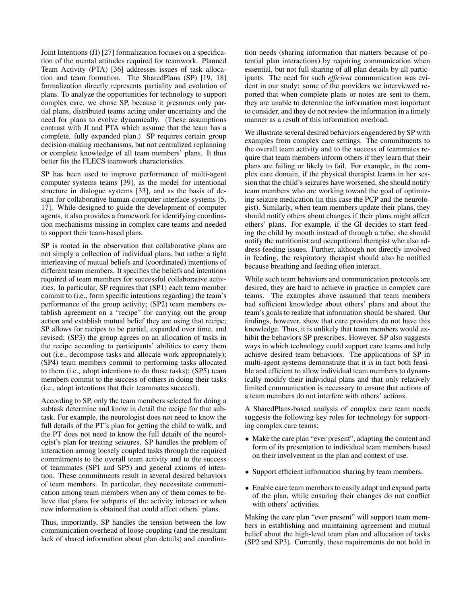Joint Intentions (JI) [\[27\]](#page-9-21) formalization focuses on a specification of the mental attitudes required for teamwork. Planned Team Activity (PTA) [\[36\]](#page-9-22) addresses issues of task allocation and team formation. The SharedPlans (SP) [\[19,](#page-9-3) [18\]](#page-9-23) formalization directly represents partiality and evolution of plans. To analyze the opportunities for technology to support complex care, we chose SP, because it presumes only partial plans, distributed teams acting under uncertainty and the need for plans to evolve dynamically. (These assumptions contrast with JI and PTA which assume that the team has a complete, fully expanded plan.) SP requires certain group decision-making mechanisms, but not centralized replanning or complete knowledge of all team members' plans. It thus better fits the FLECS teamwork characteristics.

SP has been used to improve performance of multi-agent computer systems teams [\[39\]](#page-9-24), as the model for intentional structure in dialogue systems [\[33\]](#page-9-25), and as the basis of design for collaborative human-computer interface systems [\[5,](#page-8-6) [17\]](#page-9-26). While designed to guide the development of computer agents, it also provides a framework for identifying coordination mechanisms missing in complex care teams and needed to support their team-based plans.

SP is rooted in the observation that collaborative plans are not simply a collection of individual plans, but rather a tight interleaving of mutual beliefs and (coordinated) intentions of different team members. It specifies the beliefs and intentions required of team members for successful collaborative activities. In particular, SP requires that (SP1) each team member commit to (i.e., form specific intentions regarding) the team's performance of the group activity; (SP2) team members establish agreement on a "recipe" for carrying out the group action and establish mutual belief they are using that recipe; SP allows for recipes to be partial, expanded over time, and revised; (SP3) the group agrees on an allocation of tasks in the recipe according to participants' abilities to carry them out (i.e., decompose tasks and allocate work appropriately); (SP4) team members commit to performing tasks allocated to them (i.e., adopt intentions to do those tasks); (SP5) team members commit to the success of others in doing their tasks (i.e., adopt intentions that their teammates succeed).

According to SP, only the team members selected for doing a subtask determine and know in detail the recipe for that subtask. For example, the neurologist does not need to know the full details of the PT's plan for getting the child to walk, and the PT does not need to know the full details of the neurologist's plan for treating seizures. SP handles the problem of interaction among loosely coupled tasks through the required commitments to the overall team activity and to the success of teammates (SP1 and SP5) and general axioms of intention. These commitments result in several desired behaviors of team members. In particular, they necessitate communication among team members when any of them comes to believe that plans for subparts of the activity interact or when new information is obtained that could affect others' plans.

Thus, importantly, SP handles the tension between the low communication overhead of loose coupling (and the resultant lack of shared information about plan details) and coordina-

tion needs (sharing information that matters because of potential plan interactions) by requiring communication when essential, but not full sharing of all plan details by all participants. The need for such *efficient* communication was evident in our study: some of the providers we interviewed reported that when complete plans or notes are sent to them, they are unable to determine the information most important to consider, and they do not review the information in a timely manner as a result of this information overload.

We illustrate several desired behaviors engendered by SP with examples from complex care settings. The commitments to the overall team activity and to the success of teammates require that team members inform others if they learn that their plans are failing or likely to fail. For example, in the complex care domain, if the physical therapist learns in her session that the child's seizures have worsened, she should notify team members who are working toward the goal of optimizing seizure medication (in this case the PCP and the neurologist). Similarly, when team members update their plans, they should notify others about changes if their plans might affect others' plans. For example, if the GI decides to start feeding the child by mouth instead of through a tube, she should notify the nutritionist and occupational therapist who also address feeding issues. Further, although not directly involved in feeding, the respiratory therapist should also be notified because breathing and feeding often interact.

While such team behaviors and communication protocols are desired, they are hard to achieve in practice in complex care teams. The examples above assumed that team members had sufficient knowledge about others' plans and about the team's goals to realize that information should be shared. Our findings, however, show that care providers do not have this knowledge. Thus, it is unlikely that team members would exhibit the behaviors SP prescribes. However, SP also suggests ways in which technology could support care teams and help achieve desired team behaviors. The applications of SP in multi-agent systems demonstrate that it is in fact both feasible and efficient to allow individual team members to dynamically modify their individual plans and that only relatively limited communication is necessary to ensure that actions of a team members do not interfere with others' actions.

A SharedPlans-based analysis of complex care team needs suggests the following key roles for technology for supporting complex care teams:

- Make the care plan "ever present", adapting the content and form of its presentation to individual team members based on their involvement in the plan and context of use.
- Support efficient information sharing by team members.
- Enable care team members to easily adapt and expand parts of the plan, while ensuring their changes do not conflict with others' activities.

Making the care plan "ever present" will support team members in establishing and maintaining agreement and mutual belief about the high-level team plan and allocation of tasks (SP2 and SP3). Currently, these requirements do not hold in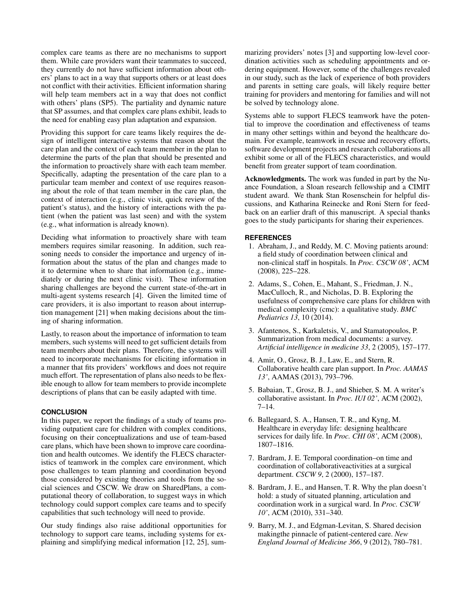complex care teams as there are no mechanisms to support them. While care providers want their teammates to succeed, they currently do not have sufficient information about others' plans to act in a way that supports others or at least does not conflict with their activities. Efficient information sharing will help team members act in a way that does not conflict with others' plans (SP5). The partiality and dynamic nature that SP assumes, and that complex care plans exhibit, leads to the need for enabling easy plan adaptation and expansion.

Providing this support for care teams likely requires the design of intelligent interactive systems that reason about the care plan and the context of each team member in the plan to determine the parts of the plan that should be presented and the information to proactively share with each team member. Specifically, adapting the presentation of the care plan to a particular team member and context of use requires reasoning about the role of that team member in the care plan, the context of interaction (e.g., clinic visit, quick review of the patient's status), and the history of interactions with the patient (when the patient was last seen) and with the system (e.g., what information is already known).

Deciding what information to proactively share with team members requires similar reasoning. In addition, such reasoning needs to consider the importance and urgency of information about the status of the plan and changes made to it to determine when to share that information (e.g., immediately or during the next clinic visit). These information sharing challenges are beyond the current state-of-the-art in multi-agent systems research [\[4\]](#page-8-7). Given the limited time of care providers, it is also important to reason about interruption management [\[21\]](#page-9-27) when making decisions about the timing of sharing information.

Lastly, to reason about the importance of information to team members, such systems will need to get sufficient details from team members about their plans. Therefore, the systems will need to incorporate mechanisms for eliciting information in a manner that fits providers' workflows and does not require much effort. The representation of plans also needs to be flexible enough to allow for team members to provide incomplete descriptions of plans that can be easily adapted with time.

# **CONCLUSION**

In this paper, we report the findings of a study of teams providing outpatient care for children with complex conditions, focusing on their conceptualizations and use of team-based care plans, which have been shown to improve care coordination and health outcomes. We identify the FLECS characteristics of teamwork in the complex care environment, which pose challenges to team planning and coordination beyond those considered by existing theories and tools from the social sciences and CSCW. We draw on SharedPlans, a computational theory of collaboration, to suggest ways in which technology could support complex care teams and to specify capabilities that such technology will need to provide.

Our study findings also raise additional opportunities for technology to support care teams, including systems for explaining and simplifying medical information [\[12,](#page-9-28) [25\]](#page-9-29), summarizing providers' notes [\[3\]](#page-8-8) and supporting low-level coordination activities such as scheduling appointments and ordering equipment. However, some of the challenges revealed in our study, such as the lack of experience of both providers and parents in setting care goals, will likely require better training for providers and mentoring for families and will not be solved by technology alone.

Systems able to support FLECS teamwork have the potential to improve the coordination and effectiveness of teams in many other settings within and beyond the healthcare domain. For example, teamwork in rescue and recovery efforts, software development projects and research collaborations all exhibit some or all of the FLECS characteristics, and would benefit from greater support of team coordination.

Acknowledgments. The work was funded in part by the Nuance Foundation, a Sloan research fellowship and a CIMIT student award. We thank Stan Rosenschein for helpful discussions, and Katharina Reinecke and Roni Stern for feedback on an earlier draft of this manuscript. A special thanks goes to the study participants for sharing their experiences.

#### <span id="page-8-4"></span>**REFERENCES**

- 1. Abraham, J., and Reddy, M. C. Moving patients around: a field study of coordination between clinical and non-clinical staff in hospitals. In *Proc. CSCW 08'*, ACM (2008), 225–228.
- <span id="page-8-0"></span>2. Adams, S., Cohen, E., Mahant, S., Friedman, J. N., MacCulloch, R., and Nicholas, D. B. Exploring the usefulness of comprehensive care plans for children with medical complexity (cmc): a qualitative study. *BMC Pediatrics 13*, 10 (2014).
- <span id="page-8-8"></span>3. Afantenos, S., Karkaletsis, V., and Stamatopoulos, P. Summarization from medical documents: a survey. *Artificial intelligence in medicine 33*, 2 (2005), 157–177.
- <span id="page-8-7"></span>4. Amir, O., Grosz, B. J., Law, E., and Stern, R. Collaborative health care plan support. In *Proc. AAMAS 13'*, AAMAS (2013), 793–796.
- <span id="page-8-6"></span>5. Babaian, T., Grosz, B. J., and Shieber, S. M. A writer's collaborative assistant. In *Proc. IUI 02'*, ACM (2002),  $7-14.$
- <span id="page-8-1"></span>6. Ballegaard, S. A., Hansen, T. R., and Kyng, M. Healthcare in everyday life: designing healthcare services for daily life. In *Proc. CHI 08'*, ACM (2008), 1807–1816.
- <span id="page-8-2"></span>7. Bardram, J. E. Temporal coordination–on time and coordination of collaborativeactivities at a surgical department. *CSCW 9*, 2 (2000), 157–187.
- <span id="page-8-3"></span>8. Bardram, J. E., and Hansen, T. R. Why the plan doesn't hold: a study of situated planning, articulation and coordination work in a surgical ward. In *Proc. CSCW 10'*, ACM (2010), 331–340.
- <span id="page-8-5"></span>9. Barry, M. J., and Edgman-Levitan, S. Shared decision makingthe pinnacle of patient-centered care. *New England Journal of Medicine 366*, 9 (2012), 780–781.